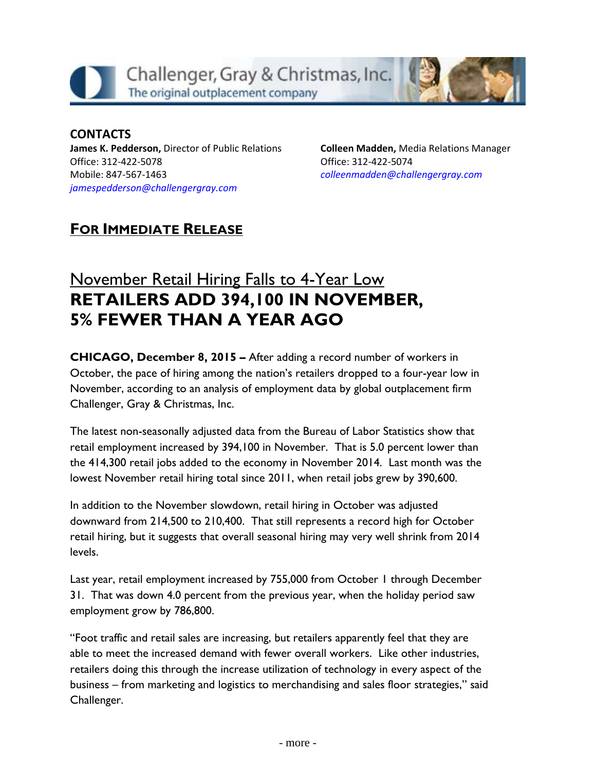

## **CONTACTS**

**James K. Pedderson,** Director of Public Relations Office: 312-422-5078 Mobile: 847-567-1463 *[jamespedderson@challengergray.com](mailto:jamespedderson@challengergray.com)*

**Colleen Madden,** Media Relations Manager Office: 312-422-5074 *[colleenmadden@challengergray.com](mailto:colleenmadden@challengergray.com)*

## **FOR IMMEDIATE RELEASE**

## November Retail Hiring Falls to 4-Year Low **RETAILERS ADD 394,100 IN NOVEMBER, 5% FEWER THAN A YEAR AGO**

**CHICAGO, December 8, 2015 –** After adding a record number of workers in October, the pace of hiring among the nation's retailers dropped to a four-year low in November, according to an analysis of employment data by global outplacement firm Challenger, Gray & Christmas, Inc.

The latest non-seasonally adjusted data from the Bureau of Labor Statistics show that retail employment increased by 394,100 in November. That is 5.0 percent lower than the 414,300 retail jobs added to the economy in November 2014. Last month was the lowest November retail hiring total since 2011, when retail jobs grew by 390,600.

In addition to the November slowdown, retail hiring in October was adjusted downward from 214,500 to 210,400. That still represents a record high for October retail hiring, but it suggests that overall seasonal hiring may very well shrink from 2014 levels.

Last year, retail employment increased by 755,000 from October 1 through December 31. That was down 4.0 percent from the previous year, when the holiday period saw employment grow by 786,800.

"Foot traffic and retail sales are increasing, but retailers apparently feel that they are able to meet the increased demand with fewer overall workers. Like other industries, retailers doing this through the increase utilization of technology in every aspect of the business – from marketing and logistics to merchandising and sales floor strategies," said Challenger.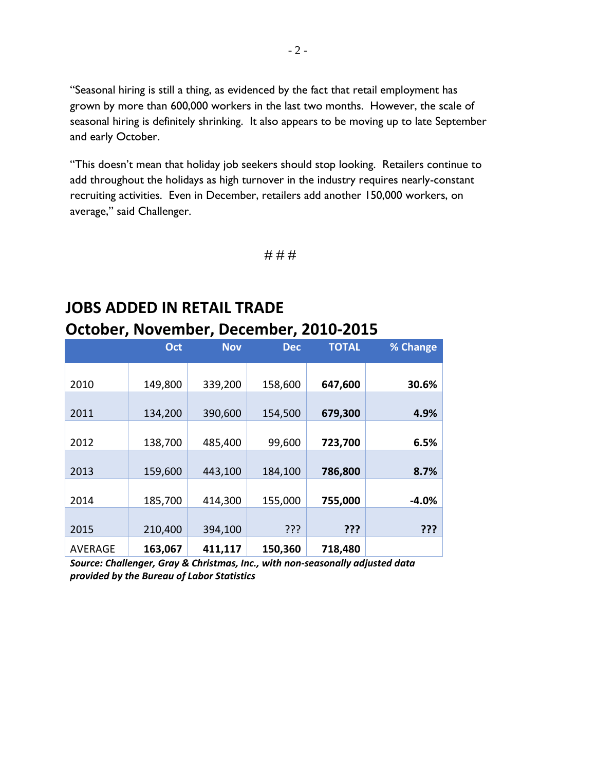"Seasonal hiring is still a thing, as evidenced by the fact that retail employment has grown by more than 600,000 workers in the last two months. However, the scale of seasonal hiring is definitely shrinking. It also appears to be moving up to late September and early October.

"This doesn't mean that holiday job seekers should stop looking. Retailers continue to add throughout the holidays as high turnover in the industry requires nearly-constant recruiting activities. Even in December, retailers add another 150,000 workers, on average," said Challenger.

# # #

## **JOBS ADDED IN RETAIL TRADE October, November, December, 2010-2015**

|                | Oct     | <b>Nov</b> | <b>Dec</b> | <b>TOTAL</b> | % Change |
|----------------|---------|------------|------------|--------------|----------|
| 2010           | 149,800 | 339,200    | 158,600    | 647,600      | 30.6%    |
|                |         |            |            |              |          |
| 2011           | 134,200 | 390,600    | 154,500    | 679,300      | 4.9%     |
| 2012           | 138,700 | 485,400    | 99,600     | 723,700      | 6.5%     |
|                |         |            |            |              |          |
| 2013           | 159,600 | 443,100    | 184,100    | 786,800      | 8.7%     |
| 2014           | 185,700 | 414,300    | 155,000    | 755,000      | $-4.0%$  |
|                |         |            |            |              |          |
| 2015           | 210,400 | 394,100    | ???        | ???          | ???      |
| <b>AVERAGE</b> | 163,067 | 411,117    | 150,360    | 718,480      |          |

*Source: Challenger, Gray & Christmas, Inc., with non-seasonally adjusted data provided by the Bureau of Labor Statistics*